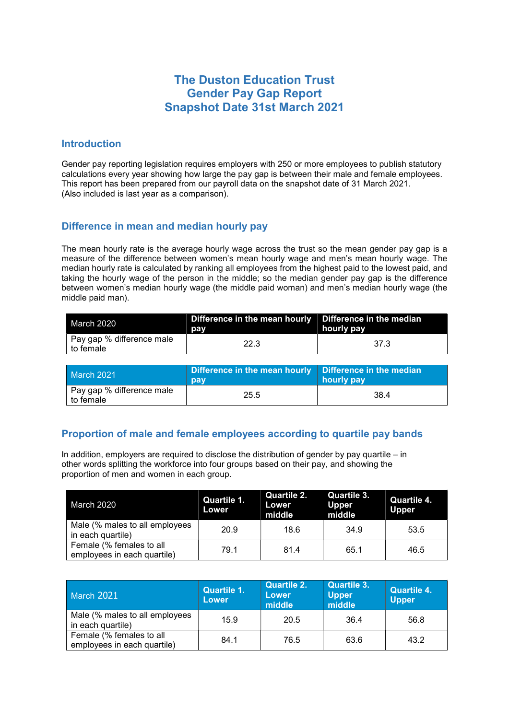# The Duston Education Trust Gender Pay Gap Report Snapshot Date 31st March 2021

#### Introduction

Gender pay reporting legislation requires employers with 250 or more employees to publish statutory calculations every year showing how large the pay gap is between their male and female employees. This report has been prepared from our payroll data on the snapshot date of 31 March 2021. (Also included is last year as a comparison).

## Difference in mean and median hourly pay

The mean hourly rate is the average hourly wage across the trust so the mean gender pay gap is a measure of the difference between women's mean hourly wage and men's mean hourly wage. The median hourly rate is calculated by ranking all employees from the highest paid to the lowest paid, and taking the hourly wage of the person in the middle; so the median gender pay gap is the difference between women's median hourly wage (the middle paid woman) and men's median hourly wage (the middle paid man).

| March 2020                                          | Difference in the mean hourly $\mid$ Difference in the median<br>pay | hourly pay |
|-----------------------------------------------------|----------------------------------------------------------------------|------------|
| <sup>1</sup> Pay gap % difference male<br>to female | 22.3                                                                 | -37.3      |

| <b>March 2021</b>                      | Difference in the mean hourly   Difference in the median<br>pay | hourly pay |
|----------------------------------------|-----------------------------------------------------------------|------------|
| Pay gap % difference male<br>to female | 25.5                                                            | 38.4       |

## Proportion of male and female employees according to quartile pay bands

In addition, employers are required to disclose the distribution of gender by pay quartile – in other words splitting the workforce into four groups based on their pay, and showing the proportion of men and women in each group.

| March 2020                                              | Quartile 1.<br><b>Lower</b> | Quartile 2.<br>Lower<br>middle | Quartile 3.<br><b>Upper</b><br>middle | <b>Quartile 4.</b><br><b>Upper</b> |
|---------------------------------------------------------|-----------------------------|--------------------------------|---------------------------------------|------------------------------------|
| Male (% males to all employees<br>in each quartile)     | 20.9                        | 18.6                           | 34.9                                  | 53.5                               |
| Female (% females to all<br>employees in each quartile) | 79.1                        | 81.4                           | 65.1                                  | 46.5                               |

| March 2021                                              | <b>Quartile 1.</b><br>Lower | <b>Quartile 2.</b><br>Lower<br>middle | <b>Quartile 3.</b><br>Upper<br>middle | <b>Quartile 4.</b><br><b>Upper</b> |
|---------------------------------------------------------|-----------------------------|---------------------------------------|---------------------------------------|------------------------------------|
| Male (% males to all employees<br>in each quartile)     | 15.9                        | 20.5                                  | 36.4                                  | 56.8                               |
| Female (% females to all<br>employees in each quartile) | 84.1                        | 76.5                                  | 63.6                                  | 43.2                               |